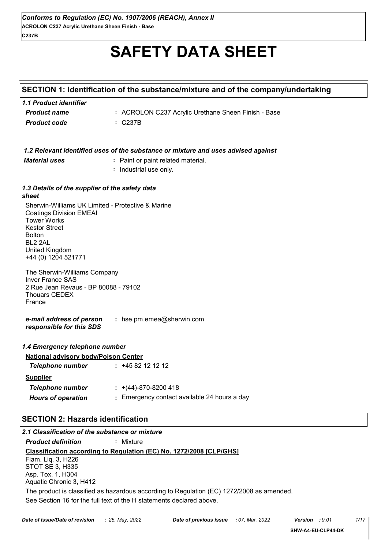# **SAFETY DATA SHEET**

# **SECTION 1: Identification of the substance/mixture and of the company/undertaking**

| 1.1 Product identifier |                                                     |
|------------------------|-----------------------------------------------------|
| <b>Product name</b>    | : ACROLON C237 Acrylic Urethane Sheen Finish - Base |
| <b>Product code</b>    | $\therefore$ C237B                                  |

|                                                                                                                                                                                                                           | 1.2 Relevant identified uses of the substance or mixture and uses advised against |
|---------------------------------------------------------------------------------------------------------------------------------------------------------------------------------------------------------------------------|-----------------------------------------------------------------------------------|
| <b>Material uses</b>                                                                                                                                                                                                      | : Paint or paint related material.                                                |
|                                                                                                                                                                                                                           | : Industrial use only.                                                            |
| 1.3 Details of the supplier of the safety data<br>sheet                                                                                                                                                                   |                                                                                   |
| Sherwin-Williams UK Limited - Protective & Marine<br><b>Coatings Division EMEAI</b><br><b>Tower Works</b><br><b>Kestor Street</b><br><b>Bolton</b><br>BL <sub>2</sub> 2AL<br><b>United Kingdom</b><br>+44 (0) 1204 521771 |                                                                                   |
| The Sherwin-Williams Company<br><b>Inver France SAS</b><br>2 Rue Jean Revaus - BP 80088 - 79102<br><b>Thouars CEDEX</b><br>France                                                                                         |                                                                                   |
| e-mail address of person<br>responsible for this SDS                                                                                                                                                                      | : hse.pm.emea@sherwin.com                                                         |
| 1.4 Emergency telephone number                                                                                                                                                                                            |                                                                                   |
| <b>National advisory body/Poison Center</b>                                                                                                                                                                               |                                                                                   |
| <b>Telephone number</b>                                                                                                                                                                                                   | $: +4582121212$                                                                   |
| <b>Supplier</b>                                                                                                                                                                                                           |                                                                                   |
| <b>Telephone number</b>                                                                                                                                                                                                   | $\div$ +(44)-870-8200 418                                                         |
| <b>Hours of operation</b>                                                                                                                                                                                                 | : Emergency contact available 24 hours a day                                      |
| <b>SECTION 2: Hazards identification</b>                                                                                                                                                                                  |                                                                                   |
| 2.1 Classification of the substance or mixture                                                                                                                                                                            |                                                                                   |
| <b>Product definition</b>                                                                                                                                                                                                 | : Mixture                                                                         |

**Classification according to Regulation (EC) No. 1272/2008 [CLP/GHS]** *Product definition* **:** Mixture See Section 16 for the full text of the H statements declared above. Flam. Liq. 3, H226 STOT SE 3, H335 Asp. Tox. 1, H304 Aquatic Chronic 3, H412 The product is classified as hazardous according to Regulation (EC) 1272/2008 as amended.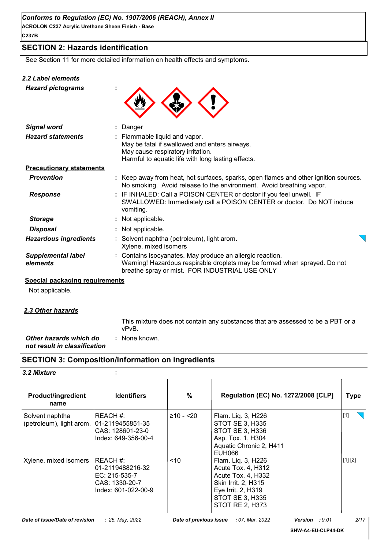# **SECTION 2: Hazards identification**

See Section 11 for more detailed information on health effects and symptoms.

#### *2.2 Label elements*

*Hazard pictograms* **:**



| <b>Signal word</b>                    |                                                                                                                                                                           | : Danger                                                                                                                                                                                 |  |
|---------------------------------------|---------------------------------------------------------------------------------------------------------------------------------------------------------------------------|------------------------------------------------------------------------------------------------------------------------------------------------------------------------------------------|--|
| <b>Hazard statements</b>              | : Flammable liquid and vapor.<br>May be fatal if swallowed and enters airways.<br>May cause respiratory irritation.<br>Harmful to aquatic life with long lasting effects. |                                                                                                                                                                                          |  |
| <b>Precautionary statements</b>       |                                                                                                                                                                           |                                                                                                                                                                                          |  |
| <b>Prevention</b>                     |                                                                                                                                                                           | : Keep away from heat, hot surfaces, sparks, open flames and other ignition sources.<br>No smoking. Avoid release to the environment. Avoid breathing vapor.                             |  |
| <b>Response</b>                       |                                                                                                                                                                           | : IF INHALED: Call a POISON CENTER or doctor if you feel unwell. IF<br>SWALLOWED: Immediately call a POISON CENTER or doctor. Do NOT induce<br>vomiting.                                 |  |
| <b>Storage</b>                        |                                                                                                                                                                           | : Not applicable.                                                                                                                                                                        |  |
| <b>Disposal</b>                       |                                                                                                                                                                           | : Not applicable.                                                                                                                                                                        |  |
| <b>Hazardous ingredients</b>          |                                                                                                                                                                           | : Solvent naphtha (petroleum), light arom.<br>Xylene, mixed isomers                                                                                                                      |  |
| <b>Supplemental label</b><br>elements |                                                                                                                                                                           | : Contains isocyanates. May produce an allergic reaction.<br>Warning! Hazardous respirable droplets may be formed when sprayed. Do not<br>breathe spray or mist. FOR INDUSTRIAL USE ONLY |  |

#### **Special packaging requirements**

Not applicable.

#### *2.3 Other hazards*

This mixture does not contain any substances that are assessed to be a PBT or a vPvB.

#### *Other hazards which do* **:** *not result in classification* : None known.

## **SECTION 3: Composition/information on ingredients**

#### *3.2 Mixture* **:**

| <b>Product/ingredient</b><br>name           | <b>Identifiers</b>                                                                      | %                      | Regulation (EC) No. 1272/2008 [CLP]                                                                                                                      |                    | <b>Type</b> |
|---------------------------------------------|-----------------------------------------------------------------------------------------|------------------------|----------------------------------------------------------------------------------------------------------------------------------------------------------|--------------------|-------------|
| Solvent naphtha<br>(petroleum), light arom. | IREACH #:<br>101-2119455851-35<br>CAS: 128601-23-0<br>Index: 649-356-00-4               | $≥10 - 20$             | Flam. Liq. 3, H226<br><b>STOT SE 3, H335</b><br>STOT SE 3, H336<br>Asp. Tox. 1, H304<br>Aquatic Chronic 2, H411<br><b>EUH066</b>                         |                    | $[1]$       |
| Xylene, mixed isomers                       | REACH #:<br>l01-2119488216-32<br>EC: 215-535-7<br>CAS: 1330-20-7<br>Index: 601-022-00-9 | < 10                   | Flam. Liq. 3, H226<br>Acute Tox. 4, H312<br>Acute Tox. 4, H332<br>Skin Irrit. 2, H315<br>Eye Irrit. 2, H319<br><b>STOT SE 3, H335</b><br>STOT RE 2, H373 |                    | [1] [2]     |
| Date of issue/Date of revision              | : 25, May, 2022                                                                         | Date of previous issue | : 07, Mar, 2022                                                                                                                                          | Version : 9.01     | 2/17        |
|                                             |                                                                                         |                        |                                                                                                                                                          | SHW-A4-EU-CLP44-DK |             |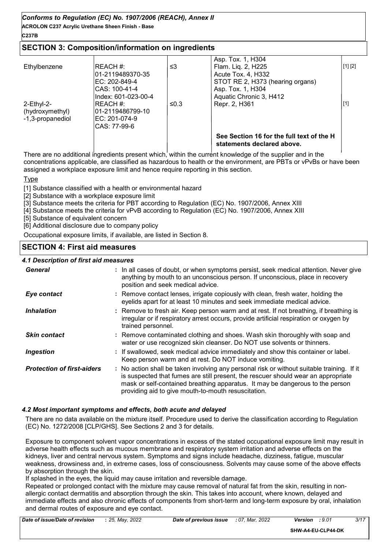# **ACROLON C237 Acrylic Urethane Sheen Finish - Base** *Conforms to Regulation (EC) No. 1907/2006 (REACH), Annex II*

#### **C237B**

# **SECTION 3: Composition/information on ingredients**

|                                                      |                                                                                         |      | See Section 16 for the full text of the H<br>statements declared above.                                                      |         |
|------------------------------------------------------|-----------------------------------------------------------------------------------------|------|------------------------------------------------------------------------------------------------------------------------------|---------|
| $2$ -Ethyl-2-<br>(hydroxymethyl)<br>-1,3-propanediol | REACH #:<br>l01-2119486799-10<br>IEC: 201-074-9<br>CAS: 77-99-6                         | ≤0.3 | Repr. 2, H361                                                                                                                | [1]     |
| Ethylbenzene                                         | REACH #:<br>01-2119489370-35<br>IEC: 202-849-4<br>ICAS: 100-41-4<br>Index: 601-023-00-4 | ≤3   | Flam. Liq. 2, H225<br>Acute Tox. 4, H332<br>STOT RE 2, H373 (hearing organs)<br>Asp. Tox. 1, H304<br>Aquatic Chronic 3, H412 | [1] [2] |
|                                                      |                                                                                         |      | Asp. Tox. 1, H304                                                                                                            |         |

There are no additional ingredients present which, within the current knowledge of the supplier and in the concentrations applicable, are classified as hazardous to health or the environment, are PBTs or vPvBs or have been assigned a workplace exposure limit and hence require reporting in this section.

Type

[1] Substance classified with a health or environmental hazard

[2] Substance with a workplace exposure limit

[3] Substance meets the criteria for PBT according to Regulation (EC) No. 1907/2006, Annex XIII

[4] Substance meets the criteria for vPvB according to Regulation (EC) No. 1907/2006, Annex XIII

[5] Substance of equivalent concern

[6] Additional disclosure due to company policy

Occupational exposure limits, if available, are listed in Section 8.

# **SECTION 4: First aid measures**

#### *4.1 Description of first aid measures*

| 7. Description or mot and measures |                                                                                                                                                                                                                                                                                                                         |
|------------------------------------|-------------------------------------------------------------------------------------------------------------------------------------------------------------------------------------------------------------------------------------------------------------------------------------------------------------------------|
| General                            | : In all cases of doubt, or when symptoms persist, seek medical attention. Never give<br>anything by mouth to an unconscious person. If unconscious, place in recovery<br>position and seek medical advice.                                                                                                             |
| Eye contact                        | : Remove contact lenses, irrigate copiously with clean, fresh water, holding the<br>eyelids apart for at least 10 minutes and seek immediate medical advice.                                                                                                                                                            |
| <b>Inhalation</b>                  | : Remove to fresh air. Keep person warm and at rest. If not breathing, if breathing is<br>irregular or if respiratory arrest occurs, provide artificial respiration or oxygen by<br>trained personnel.                                                                                                                  |
| <b>Skin contact</b>                | : Remove contaminated clothing and shoes. Wash skin thoroughly with soap and<br>water or use recognized skin cleanser. Do NOT use solvents or thinners.                                                                                                                                                                 |
| <b>Ingestion</b>                   | : If swallowed, seek medical advice immediately and show this container or label.<br>Keep person warm and at rest. Do NOT induce vomiting.                                                                                                                                                                              |
| <b>Protection of first-aiders</b>  | : No action shall be taken involving any personal risk or without suitable training. If it<br>is suspected that fumes are still present, the rescuer should wear an appropriate<br>mask or self-contained breathing apparatus. It may be dangerous to the person<br>providing aid to give mouth-to-mouth resuscitation. |

#### *4.2 Most important symptoms and effects, both acute and delayed*

There are no data available on the mixture itself. Procedure used to derive the classification according to Regulation (EC) No. 1272/2008 [CLP/GHS]. See Sections 2 and 3 for details.

Exposure to component solvent vapor concentrations in excess of the stated occupational exposure limit may result in adverse health effects such as mucous membrane and respiratory system irritation and adverse effects on the kidneys, liver and central nervous system. Symptoms and signs include headache, dizziness, fatigue, muscular weakness, drowsiness and, in extreme cases, loss of consciousness. Solvents may cause some of the above effects by absorption through the skin.

If splashed in the eyes, the liquid may cause irritation and reversible damage.

Repeated or prolonged contact with the mixture may cause removal of natural fat from the skin, resulting in nonallergic contact dermatitis and absorption through the skin. This takes into account, where known, delayed and immediate effects and also chronic effects of components from short-term and long-term exposure by oral, inhalation and dermal routes of exposure and eye contact.

| Date of issue/Date of revision | : 25, May, 2022 | Date of previous |
|--------------------------------|-----------------|------------------|
|                                |                 |                  |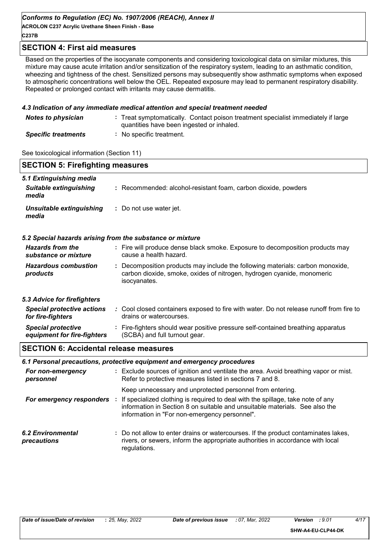#### *Conforms to Regulation (EC) No. 1907/2006 (REACH), Annex II*

**ACROLON C237 Acrylic Urethane Sheen Finish - Base C237B**

#### **SECTION 4: First aid measures**

Based on the properties of the isocyanate components and considering toxicological data on similar mixtures, this mixture may cause acute irritation and/or sensitization of the respiratory system, leading to an asthmatic condition, wheezing and tightness of the chest. Sensitized persons may subsequently show asthmatic symptoms when exposed to atmospheric concentrations well below the OEL. Repeated exposure may lead to permanent respiratory disability. Repeated or prolonged contact with irritants may cause dermatitis.

#### *4.3 Indication of any immediate medical attention and special treatment needed*

| <b>Notes to physician</b>  | : Treat symptomatically. Contact poison treatment specialist immediately if large<br>quantities have been ingested or inhaled. |
|----------------------------|--------------------------------------------------------------------------------------------------------------------------------|
| <b>Specific treatments</b> | No specific treatment.                                                                                                         |

See toxicological information (Section 11)

| <b>SECTION 5: Firefighting measures</b>                           |                                                                                                                                                                          |
|-------------------------------------------------------------------|--------------------------------------------------------------------------------------------------------------------------------------------------------------------------|
| 5.1 Extinguishing media<br><b>Suitable extinguishing</b><br>media | : Recommended: alcohol-resistant foam, carbon dioxide, powders                                                                                                           |
| Unsuitable extinguishing<br>media                                 | : Do not use water jet.                                                                                                                                                  |
| 5.2 Special hazards arising from the substance or mixture         |                                                                                                                                                                          |
| <b>Hazards from the</b><br>substance or mixture                   | : Fire will produce dense black smoke. Exposure to decomposition products may<br>cause a health hazard.                                                                  |
| <b>Hazardous combustion</b><br>products                           | : Decomposition products may include the following materials: carbon monoxide,<br>carbon dioxide, smoke, oxides of nitrogen, hydrogen cyanide, monomeric<br>isocyanates. |
| 5.3 Advice for firefighters                                       |                                                                                                                                                                          |
| <b>Special protective actions</b><br>for fire-fighters            | : Cool closed containers exposed to fire with water. Do not release runoff from fire to<br>drains or watercourses.                                                       |
| <b>Special protective</b><br>equipment for fire-fighters          | : Fire-fighters should wear positive pressure self-contained breathing apparatus<br>(SCBA) and full turnout gear.                                                        |
| <b>SECTION 6: Accidental release measures</b>                     |                                                                                                                                                                          |

## *6.1 Personal precautions, protective equipment and emergency procedures*

| For non-emergency<br>personnel   | : Exclude sources of ignition and ventilate the area. Avoid breathing vapor or mist.<br>Refer to protective measures listed in sections 7 and 8.                                                                |
|----------------------------------|-----------------------------------------------------------------------------------------------------------------------------------------------------------------------------------------------------------------|
|                                  | Keep unnecessary and unprotected personnel from entering.                                                                                                                                                       |
| For emergency responders         | If specialized clothing is required to deal with the spillage, take note of any<br>information in Section 8 on suitable and unsuitable materials. See also the<br>information in "For non-emergency personnel". |
| 6.2 Environmental<br>precautions | : Do not allow to enter drains or watercourses. If the product contaminates lakes,<br>rivers, or sewers, inform the appropriate authorities in accordance with local<br>regulations.                            |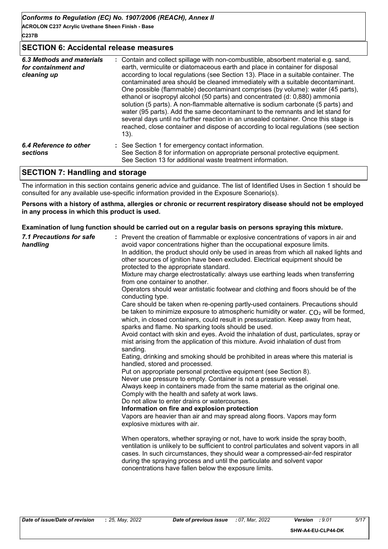#### **SECTION 6: Accidental release measures**

| 6.3 Methods and materials<br>for containment and<br>cleaning up | : Contain and collect spillage with non-combustible, absorbent material e.g. sand,<br>earth, vermiculite or diatomaceous earth and place in container for disposal<br>according to local regulations (see Section 13). Place in a suitable container. The<br>contaminated area should be cleaned immediately with a suitable decontaminant.<br>One possible (flammable) decontaminant comprises (by volume): water (45 parts),<br>ethanol or isopropyl alcohol (50 parts) and concentrated (d: 0,880) ammonia<br>solution (5 parts). A non-flammable alternative is sodium carbonate (5 parts) and<br>water (95 parts). Add the same decontaminant to the remnants and let stand for<br>several days until no further reaction in an unsealed container. Once this stage is<br>reached, close container and dispose of according to local regulations (see section<br>13). |
|-----------------------------------------------------------------|----------------------------------------------------------------------------------------------------------------------------------------------------------------------------------------------------------------------------------------------------------------------------------------------------------------------------------------------------------------------------------------------------------------------------------------------------------------------------------------------------------------------------------------------------------------------------------------------------------------------------------------------------------------------------------------------------------------------------------------------------------------------------------------------------------------------------------------------------------------------------|
| 6.4 Reference to other<br><b>sections</b>                       | : See Section 1 for emergency contact information.<br>See Section 8 for information on appropriate personal protective equipment.<br>See Section 13 for additional waste treatment information.                                                                                                                                                                                                                                                                                                                                                                                                                                                                                                                                                                                                                                                                            |

#### **SECTION 7: Handling and storage**

The information in this section contains generic advice and guidance. The list of Identified Uses in Section 1 should be consulted for any available use-specific information provided in the Exposure Scenario(s).

#### **Persons with a history of asthma, allergies or chronic or recurrent respiratory disease should not be employed in any process in which this product is used.**

#### **Examination of lung function should be carried out on a regular basis on persons spraying this mixture.**

| <b>7.1 Precautions for safe</b><br>handling | : Prevent the creation of flammable or explosive concentrations of vapors in air and<br>avoid vapor concentrations higher than the occupational exposure limits.<br>In addition, the product should only be used in areas from which all naked lights and<br>other sources of ignition have been excluded. Electrical equipment should be<br>protected to the appropriate standard.<br>Mixture may charge electrostatically: always use earthing leads when transferring<br>from one container to another.<br>Operators should wear antistatic footwear and clothing and floors should be of the<br>conducting type.<br>Care should be taken when re-opening partly-used containers. Precautions should<br>be taken to minimize exposure to atmospheric humidity or water. $CO2$ will be formed,<br>which, in closed containers, could result in pressurization. Keep away from heat,<br>sparks and flame. No sparking tools should be used.<br>Avoid contact with skin and eyes. Avoid the inhalation of dust, particulates, spray or<br>mist arising from the application of this mixture. Avoid inhalation of dust from<br>sanding.<br>Eating, drinking and smoking should be prohibited in areas where this material is<br>handled, stored and processed.<br>Put on appropriate personal protective equipment (see Section 8).<br>Never use pressure to empty. Container is not a pressure vessel.<br>Always keep in containers made from the same material as the original one.<br>Comply with the health and safety at work laws.<br>Do not allow to enter drains or watercourses.<br>Information on fire and explosion protection<br>Vapors are heavier than air and may spread along floors. Vapors may form<br>explosive mixtures with air.<br>When operators, whether spraying or not, have to work inside the spray booth,<br>ventilation is unlikely to be sufficient to control particulates and solvent vapors in all<br>cases. In such circumstances, they should wear a compressed-air-fed respirator<br>during the spraying process and until the particulate and solvent vapor<br>concentrations have fallen below the exposure limits. |
|---------------------------------------------|-----------------------------------------------------------------------------------------------------------------------------------------------------------------------------------------------------------------------------------------------------------------------------------------------------------------------------------------------------------------------------------------------------------------------------------------------------------------------------------------------------------------------------------------------------------------------------------------------------------------------------------------------------------------------------------------------------------------------------------------------------------------------------------------------------------------------------------------------------------------------------------------------------------------------------------------------------------------------------------------------------------------------------------------------------------------------------------------------------------------------------------------------------------------------------------------------------------------------------------------------------------------------------------------------------------------------------------------------------------------------------------------------------------------------------------------------------------------------------------------------------------------------------------------------------------------------------------------------------------------------------------------------------------------------------------------------------------------------------------------------------------------------------------------------------------------------------------------------------------------------------------------------------------------------------------------------------------------------------------------------------------------------------------------------------------------------------------------------------------------------------------------------------------|
|                                             |                                                                                                                                                                                                                                                                                                                                                                                                                                                                                                                                                                                                                                                                                                                                                                                                                                                                                                                                                                                                                                                                                                                                                                                                                                                                                                                                                                                                                                                                                                                                                                                                                                                                                                                                                                                                                                                                                                                                                                                                                                                                                                                                                           |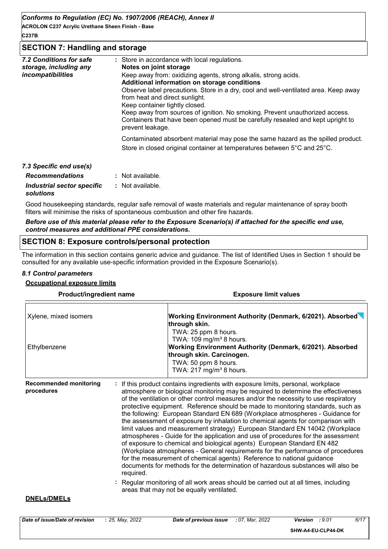*Conforms to Regulation (EC) No. 1907/2006 (REACH), Annex II*

**ACROLON C237 Acrylic Urethane Sheen Finish - Base C237B**

#### **SECTION 7: Handling and storage**

| 7.2 Conditions for safe<br>storage, including any<br>incompatibilities | : Store in accordance with local regulations.<br>Notes on joint storage<br>Keep away from: oxidizing agents, strong alkalis, strong acids.<br>Additional information on storage conditions<br>Observe label precautions. Store in a dry, cool and well-ventilated area. Keep away<br>from heat and direct sunlight.<br>Keep container tightly closed.<br>Keep away from sources of ignition. No smoking. Prevent unauthorized access.<br>Containers that have been opened must be carefully resealed and kept upright to<br>prevent leakage. |
|------------------------------------------------------------------------|----------------------------------------------------------------------------------------------------------------------------------------------------------------------------------------------------------------------------------------------------------------------------------------------------------------------------------------------------------------------------------------------------------------------------------------------------------------------------------------------------------------------------------------------|
|                                                                        | Contaminated absorbent material may pose the same hazard as the spilled product.<br>Store in closed original container at temperatures between 5°C and 25°C.                                                                                                                                                                                                                                                                                                                                                                                 |
| 7.3 Specific end use(s)                                                |                                                                                                                                                                                                                                                                                                                                                                                                                                                                                                                                              |
| <b>Recommendations</b>                                                 | : Not available.                                                                                                                                                                                                                                                                                                                                                                                                                                                                                                                             |
| Industrial sector specific                                             | : Not available.                                                                                                                                                                                                                                                                                                                                                                                                                                                                                                                             |

# *solutions*

Good housekeeping standards, regular safe removal of waste materials and regular maintenance of spray booth filters will minimise the risks of spontaneous combustion and other fire hazards.

#### *Before use of this material please refer to the Exposure Scenario(s) if attached for the specific end use, control measures and additional PPE considerations.*

## **SECTION 8: Exposure controls/personal protection**

The information in this section contains generic advice and guidance. The list of Identified Uses in Section 1 should be consulted for any available use-specific information provided in the Exposure Scenario(s).

#### *8.1 Control parameters*

**Occupational exposure limits**

| Xylene, mixed isomers<br>Ethylbenzene<br><b>Recommended monitoring</b><br>procedures | <b>Product/ingredient name</b>                         | <b>Exposure limit values</b>                                                                                                                                                                                                                                                                                                                                                                                                                                                                                                                                                                                                                                                                                                                                                                                                                                                                                                                                                                                                                                                                                |  |  |  |
|--------------------------------------------------------------------------------------|--------------------------------------------------------|-------------------------------------------------------------------------------------------------------------------------------------------------------------------------------------------------------------------------------------------------------------------------------------------------------------------------------------------------------------------------------------------------------------------------------------------------------------------------------------------------------------------------------------------------------------------------------------------------------------------------------------------------------------------------------------------------------------------------------------------------------------------------------------------------------------------------------------------------------------------------------------------------------------------------------------------------------------------------------------------------------------------------------------------------------------------------------------------------------------|--|--|--|
|                                                                                      | through skin.                                          | Working Environment Authority (Denmark, 6/2021). Absorbed<br>TWA: 25 ppm 8 hours.                                                                                                                                                                                                                                                                                                                                                                                                                                                                                                                                                                                                                                                                                                                                                                                                                                                                                                                                                                                                                           |  |  |  |
|                                                                                      |                                                        | TWA: 109 mg/m <sup>3</sup> 8 hours.<br>Working Environment Authority (Denmark, 6/2021). Absorbed<br>through skin. Carcinogen.<br>TWA: 50 ppm 8 hours.<br>TWA: 217 mg/m <sup>3</sup> 8 hours.                                                                                                                                                                                                                                                                                                                                                                                                                                                                                                                                                                                                                                                                                                                                                                                                                                                                                                                |  |  |  |
|                                                                                      | required.<br>areas that may not be equally ventilated. | If this product contains ingredients with exposure limits, personal, workplace<br>atmosphere or biological monitoring may be required to determine the effectiveness<br>of the ventilation or other control measures and/or the necessity to use respiratory<br>protective equipment. Reference should be made to monitoring standards, such as<br>the following: European Standard EN 689 (Workplace atmospheres - Guidance for<br>the assessment of exposure by inhalation to chemical agents for comparison with<br>limit values and measurement strategy) European Standard EN 14042 (Workplace<br>atmospheres - Guide for the application and use of procedures for the assessment<br>of exposure to chemical and biological agents) European Standard EN 482<br>(Workplace atmospheres - General requirements for the performance of procedures<br>for the measurement of chemical agents) Reference to national guidance<br>documents for methods for the determination of hazardous substances will also be<br>: Regular monitoring of all work areas should be carried out at all times, including |  |  |  |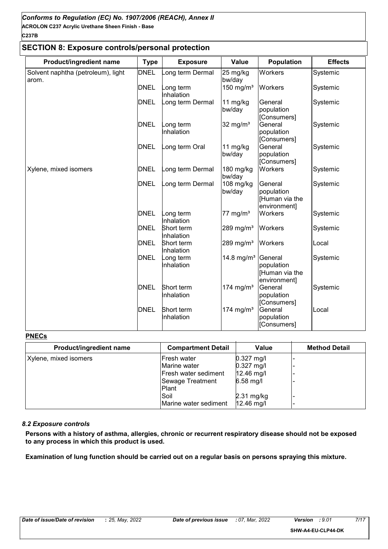# **SECTION 8: Exposure controls/personal protection**

| Product/ingredient name                     | <b>Type</b> | <b>Exposure</b>          | Value                  | <b>Population</b>                                       | <b>Effects</b> |
|---------------------------------------------|-------------|--------------------------|------------------------|---------------------------------------------------------|----------------|
| Solvent naphtha (petroleum), light<br>arom. | <b>DNEL</b> | ong term Dermal          | 25 mg/kg<br>bw/day     | Workers                                                 | Systemic       |
|                                             | <b>DNEL</b> | ong term<br>Inhalation   | 150 mg/m $3$           | Workers                                                 | Systemic       |
|                                             | <b>DNEL</b> | ong term Dermal          | 11 mg/kg<br>bw/day     | General<br>population<br>[Consumers]                    | Systemic       |
|                                             | <b>DNEL</b> | ong term<br>Inhalation   | 32 mg/ $m3$            | General<br>population<br>[Consumers]                    | Systemic       |
|                                             | <b>DNEL</b> | ong term Oral            | 11 $mg/kg$<br>bw/day   | General<br>population<br>[Consumers]                    | Systemic       |
| Xylene, mixed isomers                       | <b>DNEL</b> | ong term Dermal          | 180 mg/kg<br>bw/day    | Workers                                                 | Systemic       |
|                                             | <b>DNEL</b> | ong term Dermal          | $108$ mg/kg<br>bw/day  | General<br>population<br>[Human via the<br>environment] | Systemic       |
|                                             | <b>DNEL</b> | ong term<br>Inhalation   | 77 mg/ $m3$            | Workers                                                 | Systemic       |
|                                             | <b>DNEL</b> | Short term<br>Inhalation | 289 mg/m <sup>3</sup>  | Workers                                                 | Systemic       |
|                                             | <b>DNEL</b> | Short term<br>Inhalation | 289 mg/m <sup>3</sup>  | Workers                                                 | Local          |
|                                             | <b>DNEL</b> | _ong term<br>Inhalation  | 14.8 mg/m <sup>3</sup> | General<br>population<br>Human via the<br>environment]  | Systemic       |
|                                             | <b>DNEL</b> | Short term<br>Inhalation | 174 mg/m <sup>3</sup>  | General<br>population<br>[Consumers]                    | Systemic       |
|                                             | <b>DNEL</b> | Short term<br>Inhalation | 174 mg/m <sup>3</sup>  | General<br>population<br>[Consumers]                    | Local          |

#### **PNECs**

| Product/ingredient name | <b>Compartment Detail</b>    | <b>Value</b> | <b>Method Detail</b> |
|-------------------------|------------------------------|--------------|----------------------|
| Xylene, mixed isomers   | <b>Fresh water</b>           | $0.327$ mg/l |                      |
|                         | Marine water                 | $0.327$ mg/l |                      |
|                         | <b>IFresh water sediment</b> | $12.46$ mg/l |                      |
|                         | Sewage Treatment             | $6.58$ mg/l  |                      |
|                         | <b>Plant</b>                 |              |                      |
|                         | Soil                         | $2.31$ mg/kg |                      |
|                         | Marine water sediment        | 12.46 mg/l   |                      |

#### *8.2 Exposure controls*

**Persons with a history of asthma, allergies, chronic or recurrent respiratory disease should not be exposed to any process in which this product is used.**

**Examination of lung function should be carried out on a regular basis on persons spraying this mixture.**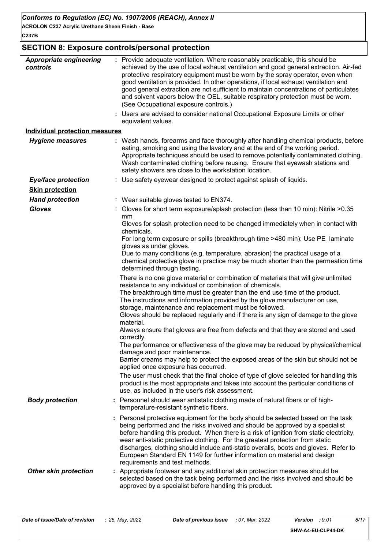# **C237B**

# **SECTION 8: Exposure controls/personal protection**

| <b>Appropriate engineering</b><br>controls | : Provide adequate ventilation. Where reasonably practicable, this should be<br>achieved by the use of local exhaust ventilation and good general extraction. Air-fed<br>protective respiratory equipment must be worn by the spray operator, even when<br>good ventilation is provided. In other operations, if local exhaust ventilation and<br>good general extraction are not sufficient to maintain concentrations of particulates<br>and solvent vapors below the OEL, suitable respiratory protection must be worn.<br>(See Occupational exposure controls.) |
|--------------------------------------------|---------------------------------------------------------------------------------------------------------------------------------------------------------------------------------------------------------------------------------------------------------------------------------------------------------------------------------------------------------------------------------------------------------------------------------------------------------------------------------------------------------------------------------------------------------------------|
|                                            | Users are advised to consider national Occupational Exposure Limits or other<br>equivalent values.                                                                                                                                                                                                                                                                                                                                                                                                                                                                  |
| <b>Individual protection measures</b>      |                                                                                                                                                                                                                                                                                                                                                                                                                                                                                                                                                                     |
| <b>Hygiene measures</b>                    | : Wash hands, forearms and face thoroughly after handling chemical products, before<br>eating, smoking and using the lavatory and at the end of the working period.<br>Appropriate techniques should be used to remove potentially contaminated clothing.<br>Wash contaminated clothing before reusing. Ensure that eyewash stations and<br>safety showers are close to the workstation location.                                                                                                                                                                   |
| <b>Eye/face protection</b>                 | : Use safety eyewear designed to protect against splash of liquids.                                                                                                                                                                                                                                                                                                                                                                                                                                                                                                 |
| <b>Skin protection</b>                     |                                                                                                                                                                                                                                                                                                                                                                                                                                                                                                                                                                     |
| <b>Hand protection</b>                     | : Wear suitable gloves tested to EN374.                                                                                                                                                                                                                                                                                                                                                                                                                                                                                                                             |
| <b>Gloves</b>                              | : Gloves for short term exposure/splash protection (less than 10 min): Nitrile >0.35<br>mm                                                                                                                                                                                                                                                                                                                                                                                                                                                                          |
|                                            | Gloves for splash protection need to be changed immediately when in contact with<br>chemicals.                                                                                                                                                                                                                                                                                                                                                                                                                                                                      |
|                                            | For long term exposure or spills (breakthrough time >480 min): Use PE laminate<br>gloves as under gloves.                                                                                                                                                                                                                                                                                                                                                                                                                                                           |
|                                            | Due to many conditions (e.g. temperature, abrasion) the practical usage of a<br>chemical protective glove in practice may be much shorter than the permeation time<br>determined through testing.                                                                                                                                                                                                                                                                                                                                                                   |
|                                            | There is no one glove material or combination of materials that will give unlimited<br>resistance to any individual or combination of chemicals.                                                                                                                                                                                                                                                                                                                                                                                                                    |
|                                            | The breakthrough time must be greater than the end use time of the product.<br>The instructions and information provided by the glove manufacturer on use,<br>storage, maintenance and replacement must be followed.                                                                                                                                                                                                                                                                                                                                                |
|                                            | Gloves should be replaced regularly and if there is any sign of damage to the glove<br>material.                                                                                                                                                                                                                                                                                                                                                                                                                                                                    |
|                                            | Always ensure that gloves are free from defects and that they are stored and used<br>correctly.                                                                                                                                                                                                                                                                                                                                                                                                                                                                     |
|                                            | The performance or effectiveness of the glove may be reduced by physical/chemical<br>damage and poor maintenance.<br>Barrier creams may help to protect the exposed areas of the skin but should not be                                                                                                                                                                                                                                                                                                                                                             |
|                                            | applied once exposure has occurred.                                                                                                                                                                                                                                                                                                                                                                                                                                                                                                                                 |
|                                            | The user must check that the final choice of type of glove selected for handling this<br>product is the most appropriate and takes into account the particular conditions of<br>use, as included in the user's risk assessment.                                                                                                                                                                                                                                                                                                                                     |
| <b>Body protection</b>                     | : Personnel should wear antistatic clothing made of natural fibers or of high-<br>temperature-resistant synthetic fibers.                                                                                                                                                                                                                                                                                                                                                                                                                                           |
|                                            | : Personal protective equipment for the body should be selected based on the task<br>being performed and the risks involved and should be approved by a specialist<br>before handling this product. When there is a risk of ignition from static electricity,<br>wear anti-static protective clothing. For the greatest protection from static<br>discharges, clothing should include anti-static overalls, boots and gloves. Refer to<br>European Standard EN 1149 for further information on material and design<br>requirements and test methods.                |
| <b>Other skin protection</b>               | : Appropriate footwear and any additional skin protection measures should be<br>selected based on the task being performed and the risks involved and should be<br>approved by a specialist before handling this product.                                                                                                                                                                                                                                                                                                                                           |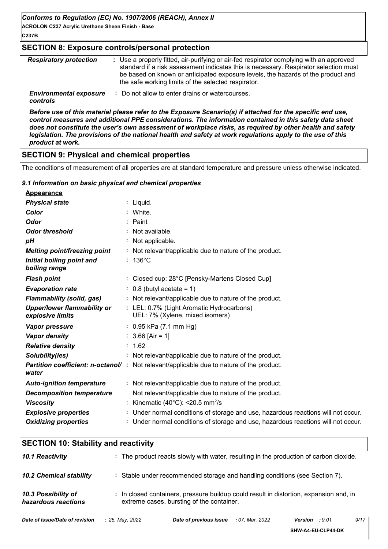# **C237B**

#### **SECTION 8: Exposure controls/personal protection**

| <b>Respiratory protection</b>             | : Use a properly fitted, air-purifying or air-fed respirator complying with an approved<br>standard if a risk assessment indicates this is necessary. Respirator selection must<br>be based on known or anticipated exposure levels, the hazards of the product and<br>the safe working limits of the selected respirator. |
|-------------------------------------------|----------------------------------------------------------------------------------------------------------------------------------------------------------------------------------------------------------------------------------------------------------------------------------------------------------------------------|
| <b>Environmental exposure</b><br>controls | : Do not allow to enter drains or watercourses.                                                                                                                                                                                                                                                                            |

*Before use of this material please refer to the Exposure Scenario(s) if attached for the specific end use, control measures and additional PPE considerations. The information contained in this safety data sheet does not constitute the user's own assessment of workplace risks, as required by other health and safety legislation. The provisions of the national health and safety at work regulations apply to the use of this product at work.*

# **SECTION 9: Physical and chemical properties**

The conditions of measurement of all properties are at standard temperature and pressure unless otherwise indicated.

#### *9.1 Information on basic physical and chemical properties*

| <b>Appearance</b>                                      |                                                                                          |
|--------------------------------------------------------|------------------------------------------------------------------------------------------|
| <b>Physical state</b>                                  | $:$ Liquid.                                                                              |
| Color                                                  | : White.                                                                                 |
| <b>Odor</b>                                            | $:$ Paint                                                                                |
| <b>Odor threshold</b>                                  | : Not available.                                                                         |
| pH                                                     | : Not applicable.                                                                        |
| <b>Melting point/freezing point</b>                    | : Not relevant/applicable due to nature of the product.                                  |
| Initial boiling point and<br>boiling range             | $: 136^{\circ}$ C                                                                        |
| <b>Flash point</b>                                     | : Closed cup: 28°C [Pensky-Martens Closed Cup]                                           |
| <b>Evaporation rate</b>                                | $: 0.8$ (butyl acetate = 1)                                                              |
| <b>Flammability (solid, gas)</b>                       | : Not relevant/applicable due to nature of the product.                                  |
| <b>Upper/lower flammability or</b><br>explosive limits | : LEL: 0.7% (Light Aromatic Hydrocarbons)<br>UEL: 7% (Xylene, mixed isomers)             |
| <b>Vapor pressure</b>                                  | $: 0.95$ kPa (7.1 mm Hg)                                                                 |
| <b>Vapor density</b>                                   | $: 3.66$ [Air = 1]                                                                       |
| <b>Relative density</b>                                | : 1.62                                                                                   |
| Solubility(ies)                                        | : Not relevant/applicable due to nature of the product.                                  |
| water                                                  | Partition coefficient: n-octanol/: Not relevant/applicable due to nature of the product. |
| <b>Auto-ignition temperature</b>                       | : Not relevant/applicable due to nature of the product.                                  |
| <b>Decomposition temperature</b>                       | Not relevant/applicable due to nature of the product.                                    |
| <b>Viscosity</b>                                       | : Kinematic (40°C): <20.5 mm <sup>2</sup> /s                                             |
| <b>Explosive properties</b>                            | : Under normal conditions of storage and use, hazardous reactions will not occur.        |
| <b>Oxidizing properties</b>                            | : Under normal conditions of storage and use, hazardous reactions will not occur.        |

| <b>SECTION 10: Stability and reactivity</b> |                                                                                                                                     |
|---------------------------------------------|-------------------------------------------------------------------------------------------------------------------------------------|
| 10.1 Reactivity                             | : The product reacts slowly with water, resulting in the production of carbon dioxide.                                              |
| <b>10.2 Chemical stability</b>              | : Stable under recommended storage and handling conditions (see Section 7).                                                         |
| 10.3 Possibility of<br>hazardous reactions  | : In closed containers, pressure buildup could result in distortion, expansion and, in<br>extreme cases, bursting of the container. |
| Date of issue/Date of revision              | 9/17<br>: 25, May, 2022<br>Date of previous issue<br>:9.01<br>: 07, Mar, 2022<br><b>Version</b>                                     |

**SHW-A4-EU-CLP44-DK**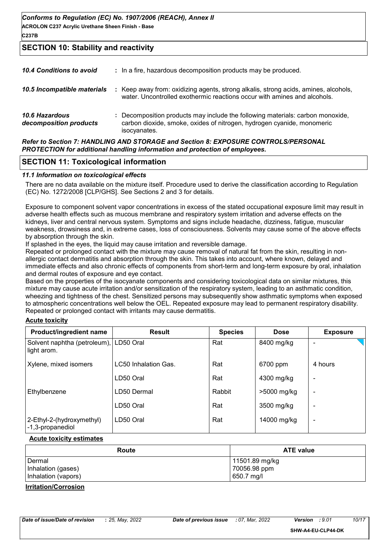# **SECTION 10: Stability and reactivity**

| 10.4 Conditions to avoid                        | : In a fire, hazardous decomposition products may be produced.                                                                                                           |
|-------------------------------------------------|--------------------------------------------------------------------------------------------------------------------------------------------------------------------------|
| 10.5 Incompatible materials                     | : Keep away from: oxidizing agents, strong alkalis, strong acids, amines, alcohols,<br>water. Uncontrolled exothermic reactions occur with amines and alcohols.          |
| <b>10.6 Hazardous</b><br>decomposition products | : Decomposition products may include the following materials: carbon monoxide,<br>carbon dioxide, smoke, oxides of nitrogen, hydrogen cyanide, monomeric<br>isocyanates. |
|                                                 | Refer to Section 7: HANDLING AND STORAGE and Section 8: EXPOSURE CONTROLS/PERSONAL                                                                                       |

*PROTECTION for additional handling information and protection of employees.*

## **SECTION 11: Toxicological information**

#### *11.1 Information on toxicological effects*

There are no data available on the mixture itself. Procedure used to derive the classification according to Regulation (EC) No. 1272/2008 [CLP/GHS]. See Sections 2 and 3 for details.

Exposure to component solvent vapor concentrations in excess of the stated occupational exposure limit may result in adverse health effects such as mucous membrane and respiratory system irritation and adverse effects on the kidneys, liver and central nervous system. Symptoms and signs include headache, dizziness, fatigue, muscular weakness, drowsiness and, in extreme cases, loss of consciousness. Solvents may cause some of the above effects by absorption through the skin.

If splashed in the eyes, the liquid may cause irritation and reversible damage.

Repeated or prolonged contact with the mixture may cause removal of natural fat from the skin, resulting in nonallergic contact dermatitis and absorption through the skin. This takes into account, where known, delayed and immediate effects and also chronic effects of components from short-term and long-term exposure by oral, inhalation and dermal routes of exposure and eye contact.

Based on the properties of the isocyanate components and considering toxicological data on similar mixtures, this mixture may cause acute irritation and/or sensitization of the respiratory system, leading to an asthmatic condition, wheezing and tightness of the chest. Sensitized persons may subsequently show asthmatic symptoms when exposed to atmospheric concentrations well below the OEL. Repeated exposure may lead to permanent respiratory disability. Repeated or prolonged contact with irritants may cause dermatitis.

#### **Acute toxicity**

| Product/ingredient name                               | <b>Result</b>        | <b>Species</b> | <b>Dose</b> | <b>Exposure</b> |
|-------------------------------------------------------|----------------------|----------------|-------------|-----------------|
| Solvent naphtha (petroleum), LD50 Oral<br>light arom. |                      | Rat            | 8400 mg/kg  |                 |
| Xylene, mixed isomers                                 | LC50 Inhalation Gas. | Rat            | 6700 ppm    | 4 hours         |
|                                                       | LD50 Oral            | Rat            | 4300 mg/kg  |                 |
| Ethylbenzene                                          | LD50 Dermal          | Rabbit         | >5000 mg/kg |                 |
|                                                       | LD50 Oral            | Rat            | 3500 mg/kg  |                 |
| 2-Ethyl-2-(hydroxymethyl)<br>-1,3-propanediol         | LD50 Oral            | Rat            | 14000 mg/kg | -               |

#### **Acute toxicity estimates**

| Route               | <b>ATE value</b> |
|---------------------|------------------|
| Dermal              | 11501.89 mg/kg   |
| Inhalation (gases)  | 70056.98 ppm     |
| Inhalation (vapors) | 650.7 mg/l       |

#### **Irritation/Corrosion**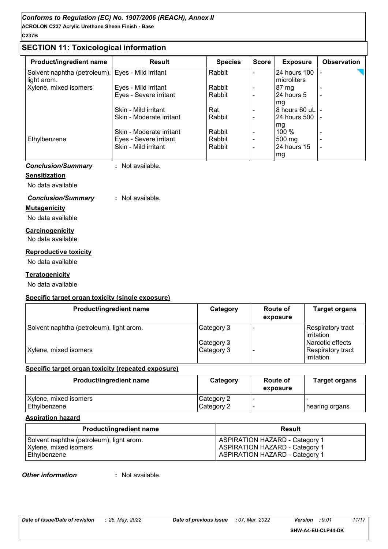# **SECTION 11: Toxicological information**

| <b>Product/ingredient name</b>              | <b>Result</b>            | <b>Species</b> | <b>Score</b>             | <b>Exposure</b>              | <b>Observation</b>       |
|---------------------------------------------|--------------------------|----------------|--------------------------|------------------------------|--------------------------|
| Solvent naphtha (petroleum),<br>light arom. | Eyes - Mild irritant     | Rabbit         |                          | 24 hours 100<br>Imicroliters |                          |
| Xylene, mixed isomers                       | Eyes - Mild irritant     | Rabbit         | $\overline{\phantom{0}}$ | $ 87 \text{ mg} $            |                          |
|                                             | Eyes - Severe irritant   | Rabbit         |                          | 24 hours 5<br>mq             | $\overline{\phantom{0}}$ |
|                                             | Skin - Mild irritant     | Rat            |                          |                              |                          |
|                                             | Skin - Moderate irritant | Rabbit         |                          | I24 hours 500 I -            |                          |
|                                             | Skin - Moderate irritant | Rabbit         |                          | mg<br>100%                   |                          |
| Ethylbenzene                                | Eyes - Severe irritant   | Rabbit         |                          | 500 mg                       |                          |
|                                             | Skin - Mild irritant     | Rabbit         |                          | $24$ hours 15                |                          |
|                                             |                          |                |                          | mg                           |                          |

#### *Conclusion/Summary* **:** Not available.

#### **Sensitization**

No data available

## *Conclusion/Summary* **:** Not available.

#### **Mutagenicity**

No data available

#### **Carcinogenicity** No data available

#### **Reproductive toxicity**

No data available

#### **Teratogenicity**

No data available

## **Specific target organ toxicity (single exposure)**

| <b>Product/ingredient name</b>           | Category                 | <b>Route of</b><br>exposure | Target organs                                       |
|------------------------------------------|--------------------------|-----------------------------|-----------------------------------------------------|
| Solvent naphtha (petroleum), light arom. | Category 3               |                             | Respiratory tract<br>irritation                     |
| Xylene, mixed isomers                    | Category 3<br>Category 3 |                             | Narcotic effects<br>Respiratory tract<br>irritation |

#### **Specific target organ toxicity (repeated exposure)**

| Product/ingredient name | Category   | Route of<br>exposure | <b>Target organs</b> |
|-------------------------|------------|----------------------|----------------------|
| Xylene, mixed isomers   | Category 2 |                      |                      |
| Ethylbenzene            | Category 2 |                      | hearing organs       |

#### **Aspiration hazard**

| <b>Product/ingredient name</b>           | <b>Result</b>                         |
|------------------------------------------|---------------------------------------|
| Solvent naphtha (petroleum), light arom. | <b>ASPIRATION HAZARD - Category 1</b> |
| Xylene, mixed isomers                    | <b>ASPIRATION HAZARD - Category 1</b> |
| Ethylbenzene                             | <b>ASPIRATION HAZARD - Category 1</b> |

#### *Other information* **:**

: Not available.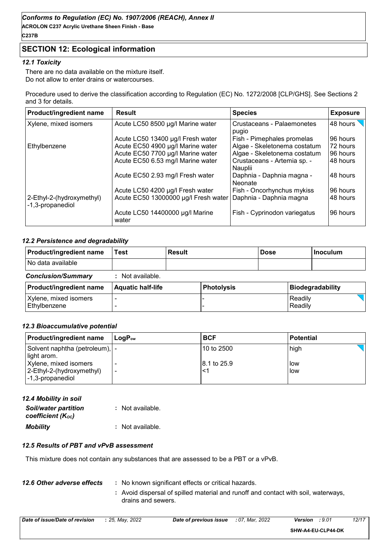# **SECTION 12: Ecological information**

## *12.1 Toxicity*

There are no data available on the mixture itself. Do not allow to enter drains or watercourses.

Procedure used to derive the classification according to Regulation (EC) No. 1272/2008 [CLP/GHS]. See Sections 2 and 3 for details.

| <b>Product/ingredient name</b>                | <b>Result</b>                                                  | <b>Species</b>                         | <b>Exposure</b> |
|-----------------------------------------------|----------------------------------------------------------------|----------------------------------------|-----------------|
| Xylene, mixed isomers                         | Acute LC50 8500 µg/l Marine water                              | Crustaceans - Palaemonetes<br>pugio    | 48 hours        |
|                                               | Acute LC50 13400 µg/l Fresh water                              | Fish - Pimephales promelas             | 96 hours        |
| Ethylbenzene                                  | Acute EC50 4900 µg/l Marine water                              | Algae - Skeletonema costatum           | 72 hours        |
|                                               | Acute EC50 7700 µg/l Marine water                              | Algae - Skeletonema costatum           | 96 hours        |
|                                               | Acute EC50 6.53 mg/l Marine water                              | Crustaceans - Artemia sp. -<br>Nauplii | 48 hours        |
|                                               | Acute EC50 2.93 mg/l Fresh water                               | Daphnia - Daphnia magna -<br>Neonate   | 48 hours        |
|                                               | Acute LC50 4200 µg/l Fresh water                               | Fish - Oncorhynchus mykiss             | 96 hours        |
| 2-Ethyl-2-(hydroxymethyl)<br>-1,3-propanediol | Acute EC50 13000000 µg/l Fresh water   Daphnia - Daphnia magna |                                        | 48 hours        |
|                                               | Acute LC50 14400000 µg/l Marine<br>water                       | Fish - Cyprinodon variegatus           | 96 hours        |

## *12.2 Persistence and degradability*

| Product/ingredient name               | Test                     | <b>Result</b> |                   | <b>Dose</b> |                    | <b>Inoculum</b>  |  |
|---------------------------------------|--------------------------|---------------|-------------------|-------------|--------------------|------------------|--|
| No data available                     |                          |               |                   |             |                    |                  |  |
| <b>Conclusion/Summary</b>             | : Not available.         |               |                   |             |                    |                  |  |
| Product/ingredient name               | <b>Aquatic half-life</b> |               | <b>Photolysis</b> |             |                    | Biodegradability |  |
| Xylene, mixed isomers<br>Ethylbenzene |                          |               |                   |             | Readily<br>Readily |                  |  |

#### *12.3 Bioaccumulative potential*

| Product/ingredient name                                                 | $\mathsf{LoaP}_\mathsf{ow}$ | <b>BCF</b>  | <b>Potential</b> |
|-------------------------------------------------------------------------|-----------------------------|-------------|------------------|
| Solvent naphtha (petroleum),  -<br>light arom.                          |                             | 10 to 2500  | high             |
| Xylene, mixed isomers<br>2-Ethyl-2-(hydroxymethyl)<br>I-1,3-propanediol | $\overline{\phantom{0}}$    | 8.1 to 25.9 | low<br>low       |

*12.4 Mobility in soil*

| <b>Soil/water partition</b><br>coefficient (Koc) | : Not available. |
|--------------------------------------------------|------------------|
| <b>Mobility</b>                                  | : Not available. |

#### *12.5 Results of PBT and vPvB assessment*

This mixture does not contain any substances that are assessed to be a PBT or a vPvB.

| 12.6 Other adverse effects | : No known significant effects or critical hazards.                                                      |
|----------------------------|----------------------------------------------------------------------------------------------------------|
|                            | : Avoid dispersal of spilled material and runoff and contact with soil, waterways,<br>drains and sewers. |

| Date of issue/Date of revision | : 25. Mav. 2022 | Date of previous issue | : 07. Mar. 2022 | Version<br>:9.01   | 12/17 |
|--------------------------------|-----------------|------------------------|-----------------|--------------------|-------|
|                                |                 |                        |                 | SHW-A4-EU-CLP44-DK |       |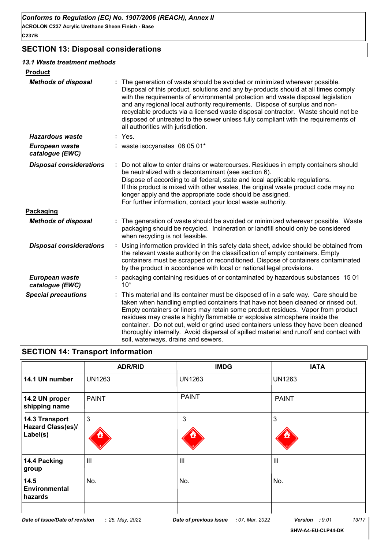# **SECTION 13: Disposal considerations**

#### *13.1 Waste treatment methods*

| <b>Product</b>                    |                                                                                                                                                                                                                                                                                                                                                                                                                                                                                                                                                                |
|-----------------------------------|----------------------------------------------------------------------------------------------------------------------------------------------------------------------------------------------------------------------------------------------------------------------------------------------------------------------------------------------------------------------------------------------------------------------------------------------------------------------------------------------------------------------------------------------------------------|
| <b>Methods of disposal</b>        | The generation of waste should be avoided or minimized wherever possible.<br>Disposal of this product, solutions and any by-products should at all times comply<br>with the requirements of environmental protection and waste disposal legislation<br>and any regional local authority requirements. Dispose of surplus and non-<br>recyclable products via a licensed waste disposal contractor. Waste should not be<br>disposed of untreated to the sewer unless fully compliant with the requirements of<br>all authorities with jurisdiction.             |
| <b>Hazardous waste</b>            | : Yes.                                                                                                                                                                                                                                                                                                                                                                                                                                                                                                                                                         |
| European waste<br>catalogue (EWC) | : waste isocyanates 08 05 01*                                                                                                                                                                                                                                                                                                                                                                                                                                                                                                                                  |
| <b>Disposal considerations</b>    | : Do not allow to enter drains or watercourses. Residues in empty containers should<br>be neutralized with a decontaminant (see section 6).<br>Dispose of according to all federal, state and local applicable regulations.<br>If this product is mixed with other wastes, the original waste product code may no<br>longer apply and the appropriate code should be assigned.<br>For further information, contact your local waste authority.                                                                                                                 |
| Packaging                         |                                                                                                                                                                                                                                                                                                                                                                                                                                                                                                                                                                |
| <b>Methods of disposal</b>        | : The generation of waste should be avoided or minimized wherever possible. Waste<br>packaging should be recycled. Incineration or landfill should only be considered<br>when recycling is not feasible.                                                                                                                                                                                                                                                                                                                                                       |
| <b>Disposal considerations</b>    | : Using information provided in this safety data sheet, advice should be obtained from<br>the relevant waste authority on the classification of empty containers. Empty<br>containers must be scrapped or reconditioned. Dispose of containers contaminated<br>by the product in accordance with local or national legal provisions.                                                                                                                                                                                                                           |
| European waste<br>catalogue (EWC) | : packaging containing residues of or contaminated by hazardous substances 1501<br>$10*$                                                                                                                                                                                                                                                                                                                                                                                                                                                                       |
| <b>Special precautions</b>        | : This material and its container must be disposed of in a safe way. Care should be<br>taken when handling emptied containers that have not been cleaned or rinsed out.<br>Empty containers or liners may retain some product residues. Vapor from product<br>residues may create a highly flammable or explosive atmosphere inside the<br>container. Do not cut, weld or grind used containers unless they have been cleaned<br>thoroughly internally. Avoid dispersal of spilled material and runoff and contact with<br>soil, waterways, drains and sewers. |

|                                                        | <b>ADR/RID</b> | <b>IMDG</b>    | <b>IATA</b>    |
|--------------------------------------------------------|----------------|----------------|----------------|
| 14.1 UN number                                         | <b>UN1263</b>  | <b>UN1263</b>  | <b>UN1263</b>  |
| 14.2 UN proper<br>shipping name                        | <b>PAINT</b>   | <b>PAINT</b>   | <b>PAINT</b>   |
| 14.3 Transport<br><b>Hazard Class(es)/</b><br>Label(s) | 3              | 3              | 3              |
| 14.4 Packing<br>group                                  | $\mathbf{III}$ | $\mathbf{III}$ | $\mathbf{III}$ |
| 14.5<br><b>Environmental</b><br>hazards                | No.            | No.            | No.            |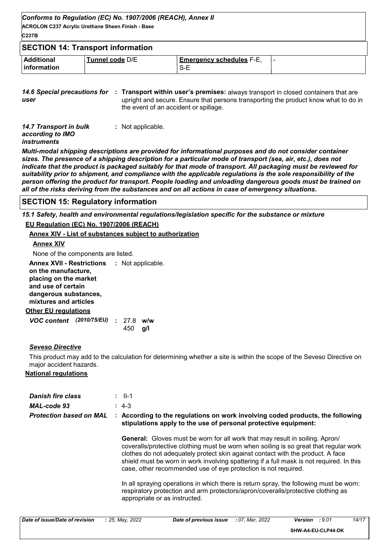| Conforms to Regulation (EC) No. 1907/2006 (REACH), Annex II<br><b>ACROLON C237 Acrylic Urethane Sheen Finish - Base</b><br>C237B |                 |                                        |  |  |  |  |
|----------------------------------------------------------------------------------------------------------------------------------|-----------------|----------------------------------------|--|--|--|--|
| <b>SECTION 14: Transport information</b>                                                                                         |                 |                                        |  |  |  |  |
| <b>Additional</b><br><b>linformation</b>                                                                                         | Tunnel code D/E | <b>Emergency schedules F-E,</b><br>S-E |  |  |  |  |

**14.6 Special precautions for : Transport within user's premises: always transport in closed containers that are** *user* upright and secure. Ensure that persons transporting the product know what to do in the event of an accident or spillage.

| 14.7 Transport in bulk | : Not applicable. |
|------------------------|-------------------|
| according to IMO       |                   |
| <i>instruments</i>     |                   |

*Multi-modal shipping descriptions are provided for informational purposes and do not consider container sizes. The presence of a shipping description for a particular mode of transport (sea, air, etc.), does not indicate that the product is packaged suitably for that mode of transport. All packaging must be reviewed for suitability prior to shipment, and compliance with the applicable regulations is the sole responsibility of the person offering the product for transport. People loading and unloading dangerous goods must be trained on all of the risks deriving from the substances and on all actions in case of emergency situations.*

## **SECTION 15: Regulatory information**

*15.1 Safety, health and environmental regulations/legislation specific for the substance or mixture* **EU Regulation (EC) No. 1907/2006 (REACH)**

**Annex XIV - List of substances subject to authorization**

#### **Annex XIV**

None of the components are listed.

| <b>Annex XVII - Restrictions</b><br>on the manufacture,<br>placing on the market<br>and use of certain<br>dangerous substances,<br>mixtures and articles |  |  |              | : Not applicable. |  |
|----------------------------------------------------------------------------------------------------------------------------------------------------------|--|--|--------------|-------------------|--|
| Other EU regulations                                                                                                                                     |  |  |              |                   |  |
| VOC content (2010/75/EU)                                                                                                                                 |  |  | : 278<br>450 | w/w<br>α/l        |  |

## *Seveso Directive*

This product may add to the calculation for determining whether a site is within the scope of the Seveso Directive on major accident hazards.

## **National regulations**

| <b>Danish fire class</b><br>MAL-code 93<br><b>Protection based on MAL</b> |  | $\therefore$ II-1<br>$: 4-3$<br>: According to the regulations on work involving coded products, the following<br>stipulations apply to the use of personal protective equipment:                                                                                                                                                                                                                                             |
|---------------------------------------------------------------------------|--|-------------------------------------------------------------------------------------------------------------------------------------------------------------------------------------------------------------------------------------------------------------------------------------------------------------------------------------------------------------------------------------------------------------------------------|
|                                                                           |  | <b>General:</b> Gloves must be worn for all work that may result in soiling. Apron/<br>coveralls/protective clothing must be worn when soiling is so great that regular work<br>clothes do not adequately protect skin against contact with the product. A face<br>shield must be worn in work involving spattering if a full mask is not required. In this<br>case, other recommended use of eye protection is not required. |
|                                                                           |  | In all spraying operations in which there is return spray, the following must be worn:<br>respiratory protection and arm protectors/apron/coveralls/protective clothing as<br>appropriate or as instructed.                                                                                                                                                                                                                   |

| Date of issue/Date of revision | $: 25.$ May, 2022 | Date of previous issue | : 07. Mar. 2022 | :9.01<br>Version   | 14/17 |
|--------------------------------|-------------------|------------------------|-----------------|--------------------|-------|
|                                |                   |                        |                 | SHW-A4-EU-CLP44-DK |       |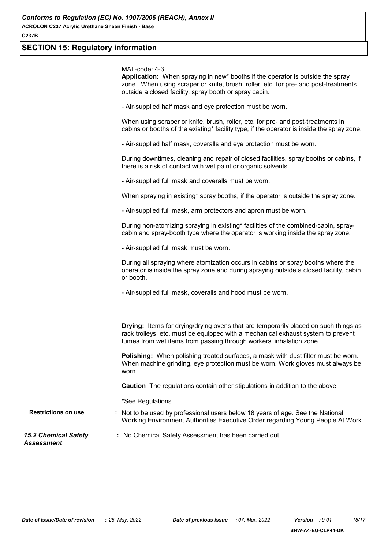## **SECTION 15: Regulatory information**

MAL-code: 4-3

**Application:** When spraying in new\* booths if the operator is outside the spray zone. When using scraper or knife, brush, roller, etc. for pre- and post-treatments outside a closed facility, spray booth or spray cabin.

- Air-supplied half mask and eye protection must be worn.

When using scraper or knife, brush, roller, etc. for pre- and post-treatments in cabins or booths of the existing\* facility type, if the operator is inside the spray zone.

- Air-supplied half mask, coveralls and eye protection must be worn.

During downtimes, cleaning and repair of closed facilities, spray booths or cabins, if there is a risk of contact with wet paint or organic solvents.

- Air-supplied full mask and coveralls must be worn.

When spraying in existing\* spray booths, if the operator is outside the spray zone.

- Air-supplied full mask, arm protectors and apron must be worn.

During non-atomizing spraying in existing\* facilities of the combined-cabin, spraycabin and spray-booth type where the operator is working inside the spray zone.

- Air-supplied full mask must be worn.

During all spraying where atomization occurs in cabins or spray booths where the operator is inside the spray zone and during spraying outside a closed facility, cabin or booth.

- Air-supplied full mask, coveralls and hood must be worn.

**Drying:** Items for drying/drying ovens that are temporarily placed on such things as rack trolleys, etc. must be equipped with a mechanical exhaust system to prevent fumes from wet items from passing through workers' inhalation zone.

**Polishing:** When polishing treated surfaces, a mask with dust filter must be worn. When machine grinding, eye protection must be worn. Work gloves must always be worn.

**Caution** The regulations contain other stipulations in addition to the above.

\*See Regulations.

**Restrictions on use :** Not to be used by professional users below 18 years of age. See the National Working Environment Authorities Executive Order regarding Young People At Work.

*15.2 Chemical Safety Assessment*

**:** No Chemical Safety Assessment has been carried out.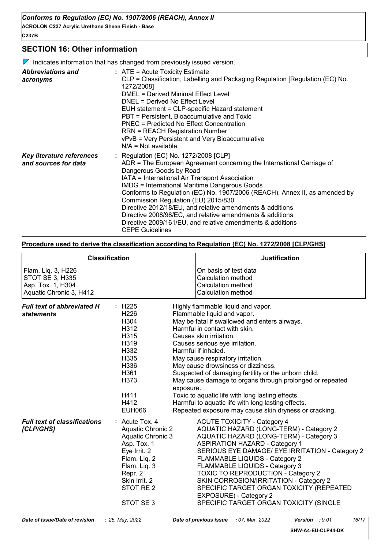**C237B**

#### **SECTION 16: Other information**

 $\nabla$  Indicates information that has changed from previously issued version.

| <b>Abbreviations and</b><br>acronyms              | $:$ ATE = Acute Toxicity Estimate<br>CLP = Classification, Labelling and Packaging Regulation [Regulation (EC) No.<br>1272/2008]<br><b>DMEL = Derived Minimal Effect Level</b><br>DNEL = Derived No Effect Level<br>EUH statement = CLP-specific Hazard statement<br>PBT = Persistent, Bioaccumulative and Toxic<br>PNEC = Predicted No Effect Concentration<br>RRN = REACH Registration Number<br>vPvB = Very Persistent and Very Bioaccumulative<br>$N/A = Not available$                                                                                                                |
|---------------------------------------------------|--------------------------------------------------------------------------------------------------------------------------------------------------------------------------------------------------------------------------------------------------------------------------------------------------------------------------------------------------------------------------------------------------------------------------------------------------------------------------------------------------------------------------------------------------------------------------------------------|
| Key literature references<br>and sources for data | : Regulation (EC) No. 1272/2008 [CLP]<br>ADR = The European Agreement concerning the International Carriage of<br>Dangerous Goods by Road<br>IATA = International Air Transport Association<br><b>IMDG = International Maritime Dangerous Goods</b><br>Conforms to Regulation (EC) No. 1907/2006 (REACH), Annex II, as amended by<br>Commission Regulation (EU) 2015/830<br>Directive 2012/18/EU, and relative amendments & additions<br>Directive 2008/98/EC, and relative amendments & additions<br>Directive 2009/161/EU, and relative amendments & additions<br><b>CEPE Guidelines</b> |

#### **Procedure used to derive the classification according to Regulation (EC) No. 1272/2008 [CLP/GHS]**

|                                                                                              | <b>Classification</b>                                                                                                                                                           | <b>Justification</b>                                                                                                                                                                                                                                                                                                                                                                                                                                                                                                                                                                                      |
|----------------------------------------------------------------------------------------------|---------------------------------------------------------------------------------------------------------------------------------------------------------------------------------|-----------------------------------------------------------------------------------------------------------------------------------------------------------------------------------------------------------------------------------------------------------------------------------------------------------------------------------------------------------------------------------------------------------------------------------------------------------------------------------------------------------------------------------------------------------------------------------------------------------|
| Flam. Liq. 3, H226<br><b>STOT SE 3, H335</b><br>Asp. Tox. 1, H304<br>Aquatic Chronic 3, H412 |                                                                                                                                                                                 | On basis of test data<br>Calculation method<br>Calculation method<br>Calculation method                                                                                                                                                                                                                                                                                                                                                                                                                                                                                                                   |
| Full text of abbreviated H<br><b>statements</b>                                              | : H225<br>H <sub>226</sub><br>H304<br>H312<br>H315<br>H319<br>H332<br>H335<br>H336<br>H361<br>H373<br>exposure.<br>H411<br>H412<br><b>EUH066</b>                                | Highly flammable liquid and vapor.<br>Flammable liquid and vapor.<br>May be fatal if swallowed and enters airways.<br>Harmful in contact with skin.<br>Causes skin irritation.<br>Causes serious eye irritation.<br>Harmful if inhaled.<br>May cause respiratory irritation.<br>May cause drowsiness or dizziness.<br>Suspected of damaging fertility or the unborn child.<br>May cause damage to organs through prolonged or repeated<br>Toxic to aquatic life with long lasting effects.<br>Harmful to aquatic life with long lasting effects.<br>Repeated exposure may cause skin dryness or cracking. |
| <b>Full text of classifications</b><br>[CLP/GHS]                                             | $:$ Acute Tox, 4<br>Aquatic Chronic 2<br>Aquatic Chronic 3<br>Asp. Tox. 1<br>Eye Irrit. 2<br>Flam. Liq. 2<br>Flam. Liq. 3<br>Repr. 2<br>Skin Irrit. 2<br>STOT RE 2<br>STOT SE 3 | <b>ACUTE TOXICITY - Category 4</b><br>AQUATIC HAZARD (LONG-TERM) - Category 2<br>AQUATIC HAZARD (LONG-TERM) - Category 3<br><b>ASPIRATION HAZARD - Category 1</b><br>SERIOUS EYE DAMAGE/ EYE IRRITATION - Category 2<br><b>FLAMMABLE LIQUIDS - Category 2</b><br>FLAMMABLE LIQUIDS - Category 3<br><b>TOXIC TO REPRODUCTION - Category 2</b><br>SKIN CORROSION/IRRITATION - Category 2<br>SPECIFIC TARGET ORGAN TOXICITY (REPEATED<br>EXPOSURE) - Category 2<br>SPECIFIC TARGET ORGAN TOXICITY (SINGLE                                                                                                    |
| Date of issue/Date of revision                                                               | : 25, May, 2022                                                                                                                                                                 | : 07, Mar, 2022<br>16/17<br>Date of previous issue<br><b>Version</b><br>: 9.01                                                                                                                                                                                                                                                                                                                                                                                                                                                                                                                            |

**SHW-A4-EU-CLP44-DK**